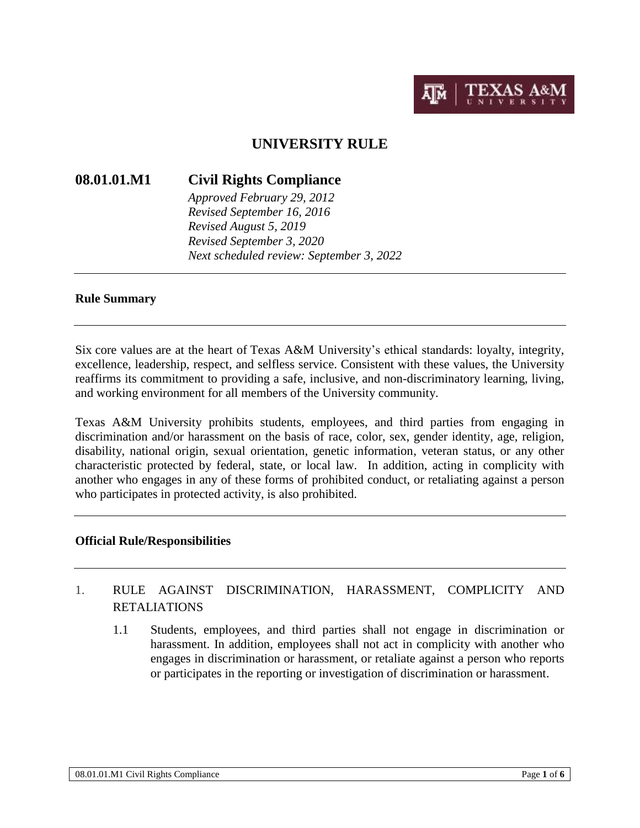

# **UNIVERSITY RULE**

### **08.01.01.M1 Civil Rights Compliance**

*Approved February 29, 2012 Revised September 16, 2016 Revised August 5, 2019 Revised September 3, 2020 Next scheduled review: September 3, 2022*

#### **Rule Summary**

Six core values are at the heart of Texas A&M University's ethical standards: loyalty, integrity, excellence, leadership, respect, and selfless service. Consistent with these values, the University reaffirms its commitment to providing a safe, inclusive, and non-discriminatory learning, living, and working environment for all members of the University community.

Texas A&M University prohibits students, employees, and third parties from engaging in discrimination and/or harassment on the basis of race, color, sex, gender identity, age, religion, disability, national origin, sexual orientation, genetic information, veteran status, or any other characteristic protected by federal, state, or local law. In addition, acting in complicity with another who engages in any of these forms of prohibited conduct, or retaliating against a person who participates in protected activity, is also prohibited.

### **Official Rule/Responsibilities**

# 1. RULE AGAINST DISCRIMINATION, HARASSMENT, COMPLICITY AND RETALIATIONS

1.1 Students, employees, and third parties shall not engage in discrimination or harassment. In addition, employees shall not act in complicity with another who engages in discrimination or harassment, or retaliate against a person who reports or participates in the reporting or investigation of discrimination or harassment.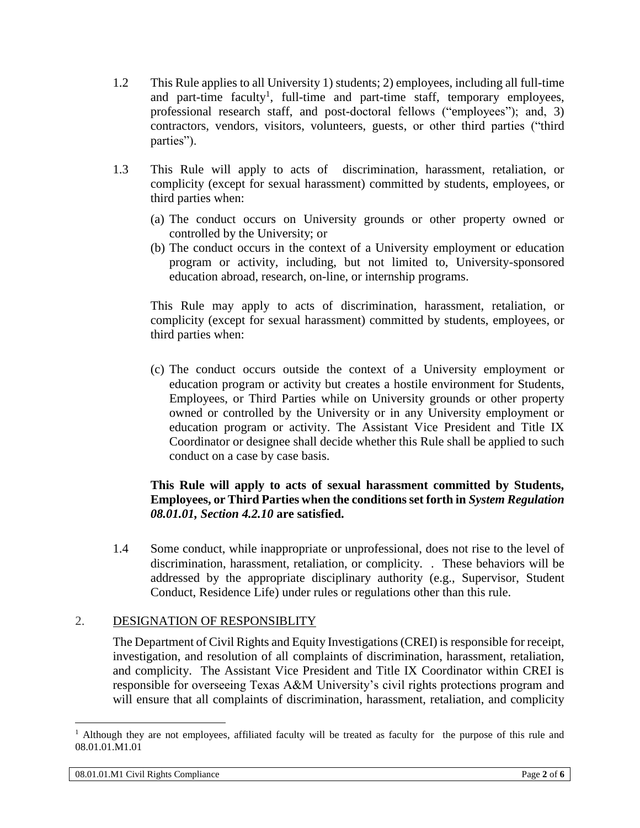- 1.2 This Rule applies to all University 1) students; 2) employees, including all full-time and part-time faculty<sup>1</sup>, full-time and part-time staff, temporary employees, professional research staff, and post-doctoral fellows ("employees"); and, 3) contractors, vendors, visitors, volunteers, guests, or other third parties ("third parties").
- 1.3 This Rule will apply to acts of discrimination, harassment, retaliation, or complicity (except for sexual harassment) committed by students, employees, or third parties when:
	- (a) The conduct occurs on University grounds or other property owned or controlled by the University; or
	- (b) The conduct occurs in the context of a University employment or education program or activity, including, but not limited to, University-sponsored education abroad, research, on-line, or internship programs.

This Rule may apply to acts of discrimination, harassment, retaliation, or complicity (except for sexual harassment) committed by students, employees, or third parties when:

(c) The conduct occurs outside the context of a University employment or education program or activity but creates a hostile environment for Students, Employees, or Third Parties while on University grounds or other property owned or controlled by the University or in any University employment or education program or activity. The Assistant Vice President and Title IX Coordinator or designee shall decide whether this Rule shall be applied to such conduct on a case by case basis.

## **This Rule will apply to acts of sexual harassment committed by Students, Employees, or Third Parties when the conditions set forth in** *System Regulation 08.01.01, Section 4.2.10* **are satisfied.**

1.4 Some conduct, while inappropriate or unprofessional, does not rise to the level of discrimination, harassment, retaliation, or complicity. . These behaviors will be addressed by the appropriate disciplinary authority (e.g., Supervisor, Student Conduct, Residence Life) under rules or regulations other than this rule.

## 2. DESIGNATION OF RESPONSIBLITY

The Department of Civil Rights and Equity Investigations (CREI) is responsible for receipt, investigation, and resolution of all complaints of discrimination, harassment, retaliation, and complicity. The Assistant Vice President and Title IX Coordinator within CREI is responsible for overseeing Texas A&M University's civil rights protections program and will ensure that all complaints of discrimination, harassment, retaliation, and complicity

 $\overline{a}$ 

<sup>&</sup>lt;sup>1</sup> Although they are not employees, affiliated faculty will be treated as faculty for the purpose of this rule and 08.01.01.M1.01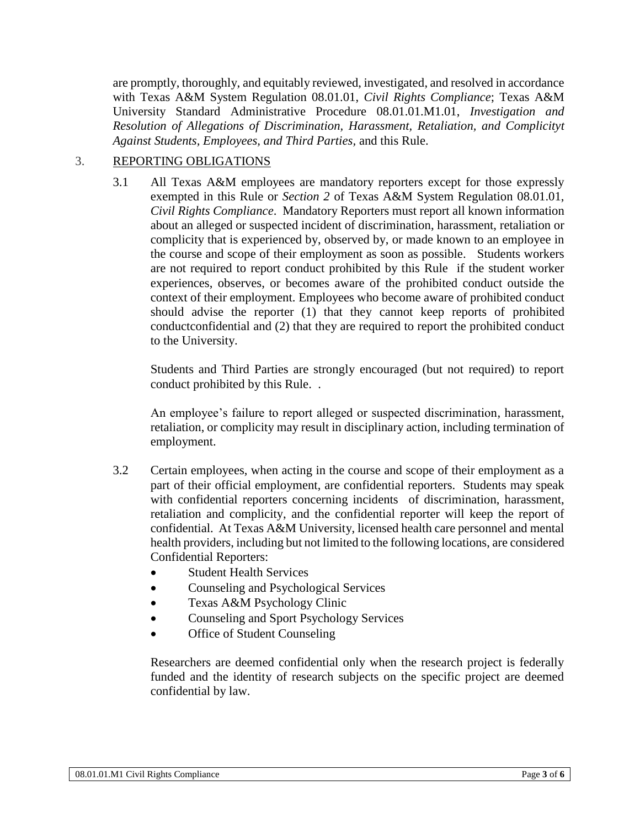are promptly, thoroughly, and equitably reviewed, investigated, and resolved in accordance with Texas A&M System Regulation 08.01.01, *Civil Rights Compliance*; Texas A&M University Standard Administrative Procedure 08.01.01.M1.01, *Investigation and Resolution of Allegations of Discrimination, Harassment, Retaliation, and Complicityt Against Students, Employees, and Third Parties,* and this Rule.

# 3. REPORTING OBLIGATIONS

3.1 All Texas A&M employees are mandatory reporters except for those expressly exempted in this Rule or *Section 2* of Texas A&M System Regulation 08.01.01, *Civil Rights Compliance*. Mandatory Reporters must report all known information about an alleged or suspected incident of discrimination, harassment, retaliation or complicity that is experienced by, observed by, or made known to an employee in the course and scope of their employment as soon as possible. Students workers are not required to report conduct prohibited by this Rule if the student worker experiences, observes, or becomes aware of the prohibited conduct outside the context of their employment. Employees who become aware of prohibited conduct should advise the reporter (1) that they cannot keep reports of prohibited conductconfidential and (2) that they are required to report the prohibited conduct to the University.

Students and Third Parties are strongly encouraged (but not required) to report conduct prohibited by this Rule. .

An employee's failure to report alleged or suspected discrimination, harassment, retaliation, or complicity may result in disciplinary action, including termination of employment.

- 3.2 Certain employees, when acting in the course and scope of their employment as a part of their official employment, are confidential reporters. Students may speak with confidential reporters concerning incidents of discrimination, harassment, retaliation and complicity, and the confidential reporter will keep the report of confidential. At Texas A&M University, licensed health care personnel and mental health providers, including but not limited to the following locations, are considered Confidential Reporters:
	- Student Health Services
	- Counseling and Psychological Services
	- Texas A&M Psychology Clinic
	- Counseling and Sport Psychology Services
	- **Office of Student Counseling**

Researchers are deemed confidential only when the research project is federally funded and the identity of research subjects on the specific project are deemed confidential by law.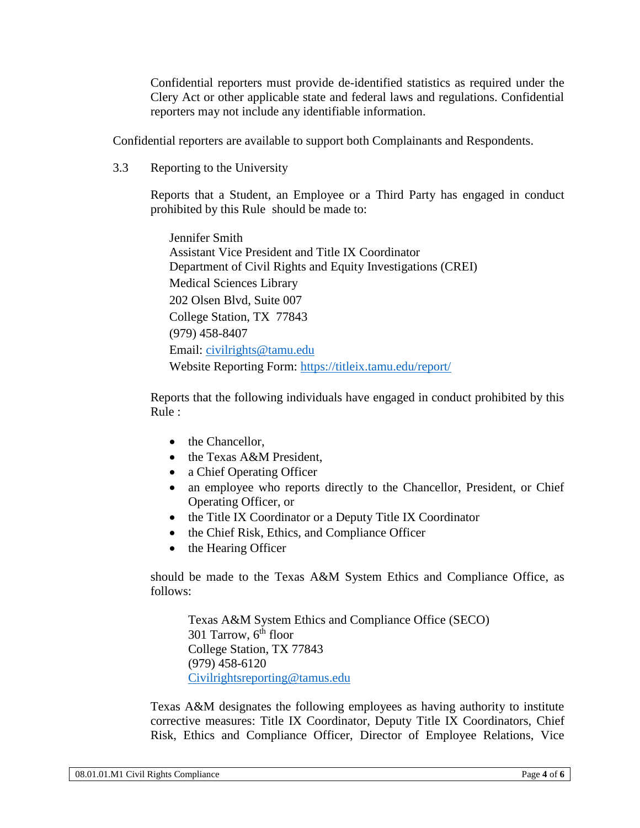Confidential reporters must provide de-identified statistics as required under the Clery Act or other applicable state and federal laws and regulations. Confidential reporters may not include any identifiable information.

Confidential reporters are available to support both Complainants and Respondents.

3.3 Reporting to the University

Reports that a Student, an Employee or a Third Party has engaged in conduct prohibited by this Rule should be made to:

Jennifer Smith Assistant Vice President and Title IX Coordinator Department of Civil Rights and Equity Investigations (CREI) Medical Sciences Library 202 Olsen Blvd, Suite 007 College Station, TX 77843 (979) 458-8407 Email: [civilrights@tamu.edu](mailto:civilrights@tamu.edu) Website Reporting Form:<https://titleix.tamu.edu/report/>

Reports that the following individuals have engaged in conduct prohibited by this Rule :

- the Chancellor,
- the Texas A&M President,
- a Chief Operating Officer
- an employee who reports directly to the Chancellor, President, or Chief Operating Officer, or
- the Title IX Coordinator or a Deputy Title IX Coordinator
- the Chief Risk, Ethics, and Compliance Officer
- the Hearing Officer

should be made to the Texas A&M System Ethics and Compliance Office, as follows:

Texas A&M System Ethics and Compliance Office (SECO) 301 Tarrow,  $6<sup>th</sup>$  floor College Station, TX 77843 (979) 458-6120 [Civilrightsreporting@tamus.edu](mailto:Civilrightsreporting@tamus.edu)

Texas A&M designates the following employees as having authority to institute corrective measures: Title IX Coordinator, Deputy Title IX Coordinators, Chief Risk, Ethics and Compliance Officer, Director of Employee Relations, Vice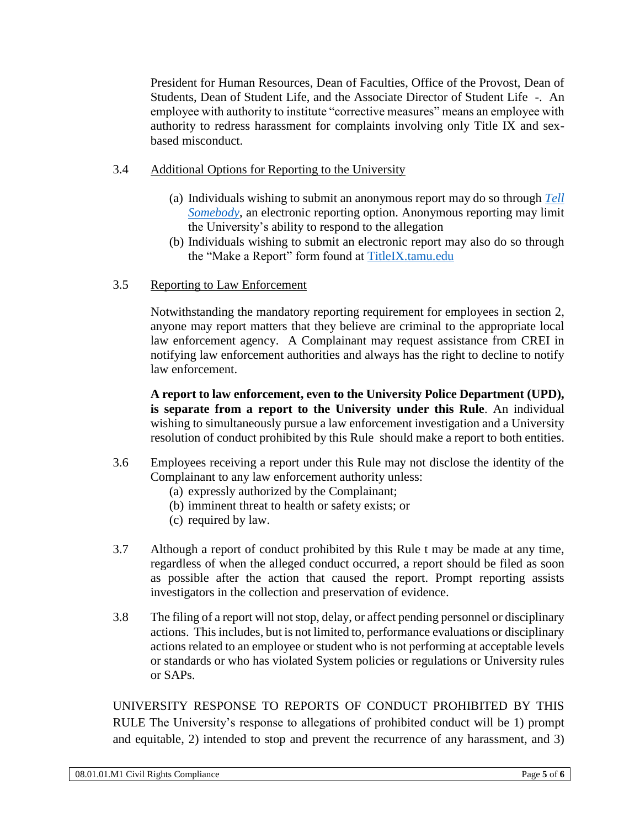President for Human Resources, Dean of Faculties, Office of the Provost, Dean of Students, Dean of Student Life, and the Associate Director of Student Life -. An employee with authority to institute "corrective measures" means an employee with authority to redress harassment for complaints involving only Title IX and sexbased misconduct.

- 3.4 Additional Options for Reporting to the University
	- (a) Individuals wishing to submit an anonymous report may do so through *[Tell](https://tellsomebody.tamu.edu/reportingform/)  [Somebody](https://tellsomebody.tamu.edu/reportingform/)*, an electronic reporting option. Anonymous reporting may limit the University's ability to respond to the allegation
	- (b) Individuals wishing to submit an electronic report may also do so through the "Make a Report" form found at [TitleIX.tamu.edu](https://titleix.tamu.edu/)
- 3.5Reporting to Law Enforcement

Notwithstanding the mandatory reporting requirement for employees in section 2, anyone may report matters that they believe are criminal to the appropriate local law enforcement agency. A Complainant may request assistance from CREI in notifying law enforcement authorities and always has the right to decline to notify law enforcement.

**A report to law enforcement, even to the University Police Department (UPD), is separate from a report to the University under this Rule**. An individual wishing to simultaneously pursue a law enforcement investigation and a University resolution of conduct prohibited by this Rule should make a report to both entities.

- 3.6 Employees receiving a report under this Rule may not disclose the identity of the Complainant to any law enforcement authority unless:
	- (a) expressly authorized by the Complainant;
	- (b) imminent threat to health or safety exists; or
	- (c) required by law.
- 3.7 Although a report of conduct prohibited by this Rule t may be made at any time, regardless of when the alleged conduct occurred, a report should be filed as soon as possible after the action that caused the report. Prompt reporting assists investigators in the collection and preservation of evidence.
- 3.8 The filing of a report will not stop, delay, or affect pending personnel or disciplinary actions. This includes, but is not limited to, performance evaluations or disciplinary actions related to an employee or student who is not performing at acceptable levels or standards or who has violated System policies or regulations or University rules or SAPs.

UNIVERSITY RESPONSE TO REPORTS OF CONDUCT PROHIBITED BY THIS RULE The University's response to allegations of prohibited conduct will be 1) prompt and equitable, 2) intended to stop and prevent the recurrence of any harassment, and 3)